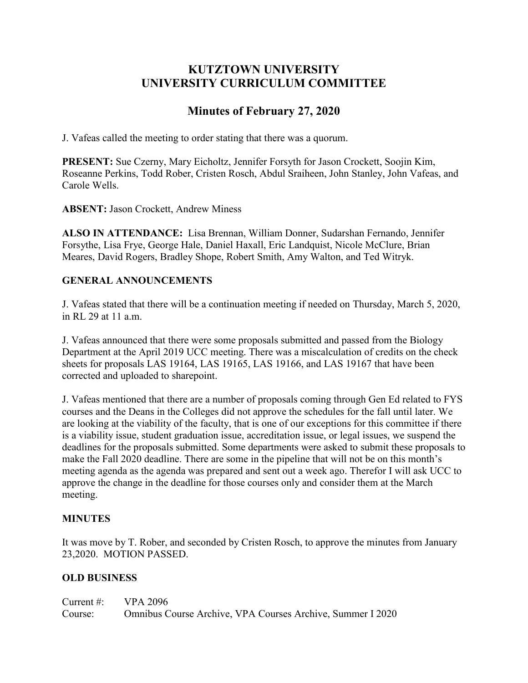## **KUTZTOWN UNIVERSITY UNIVERSITY CURRICULUM COMMITTEE**

# **Minutes of February 27, 2020**

J. Vafeas called the meeting to order stating that there was a quorum.

**PRESENT:** Sue Czerny, Mary Eicholtz, Jennifer Forsyth for Jason Crockett, Soojin Kim, Roseanne Perkins, Todd Rober, Cristen Rosch, Abdul Sraiheen, John Stanley, John Vafeas, and Carole Wells.

**ABSENT:** Jason Crockett, Andrew Miness

**ALSO IN ATTENDANCE:** Lisa Brennan, William Donner, Sudarshan Fernando, Jennifer Forsythe, Lisa Frye, George Hale, Daniel Haxall, Eric Landquist, Nicole McClure, Brian Meares, David Rogers, Bradley Shope, Robert Smith, Amy Walton, and Ted Witryk.

## **GENERAL ANNOUNCEMENTS**

J. Vafeas stated that there will be a continuation meeting if needed on Thursday, March 5, 2020, in RL 29 at 11 a.m.

J. Vafeas announced that there were some proposals submitted and passed from the Biology Department at the April 2019 UCC meeting. There was a miscalculation of credits on the check sheets for proposals LAS 19164, LAS 19165, LAS 19166, and LAS 19167 that have been corrected and uploaded to sharepoint.

J. Vafeas mentioned that there are a number of proposals coming through Gen Ed related to FYS courses and the Deans in the Colleges did not approve the schedules for the fall until later. We are looking at the viability of the faculty, that is one of our exceptions for this committee if there is a viability issue, student graduation issue, accreditation issue, or legal issues, we suspend the deadlines for the proposals submitted. Some departments were asked to submit these proposals to make the Fall 2020 deadline. There are some in the pipeline that will not be on this month's meeting agenda as the agenda was prepared and sent out a week ago. Therefor I will ask UCC to approve the change in the deadline for those courses only and consider them at the March meeting.

## **MINUTES**

It was move by T. Rober, and seconded by Cristen Rosch, to approve the minutes from January 23,2020. MOTION PASSED.

## **OLD BUSINESS**

| Current #: $VPA 2096$ |                                                            |
|-----------------------|------------------------------------------------------------|
| Course:               | Omnibus Course Archive, VPA Courses Archive, Summer I 2020 |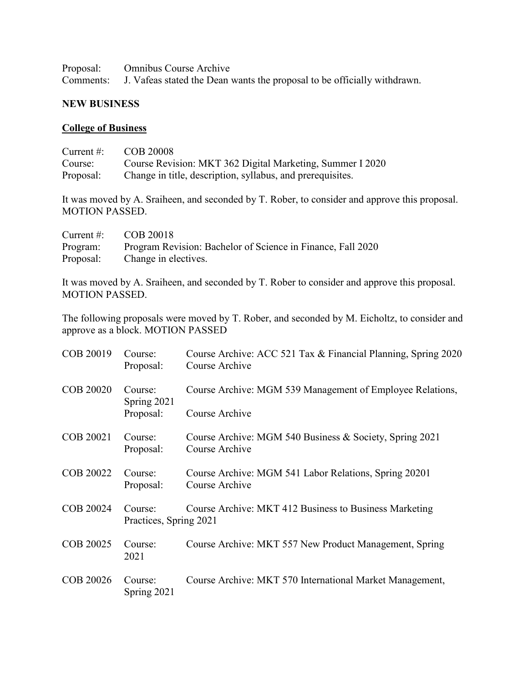| Proposal: Omnibus Course Archive                                                   |
|------------------------------------------------------------------------------------|
| Comments: J. Vafeas stated the Dean wants the proposal to be officially withdrawn. |

#### **NEW BUSINESS**

#### **College of Business**

| Current $\#$ : | COB 20008                                                  |
|----------------|------------------------------------------------------------|
| Course:        | Course Revision: MKT 362 Digital Marketing, Summer I 2020  |
| Proposal:      | Change in title, description, syllabus, and prerequisites. |

It was moved by A. Sraiheen, and seconded by T. Rober, to consider and approve this proposal. MOTION PASSED.

| Current #: $\qquad \qquad \text{COB } 20018$ |                                                             |
|----------------------------------------------|-------------------------------------------------------------|
| Program:                                     | Program Revision: Bachelor of Science in Finance, Fall 2020 |
| Proposal:                                    | Change in electives.                                        |

It was moved by A. Sraiheen, and seconded by T. Rober to consider and approve this proposal. MOTION PASSED.

The following proposals were moved by T. Rober, and seconded by M. Eicholtz, to consider and approve as a block. MOTION PASSED

| COB 20019        | Course:<br>Proposal:                | Course Archive: ACC 521 Tax & Financial Planning, Spring 2020<br>Course Archive |
|------------------|-------------------------------------|---------------------------------------------------------------------------------|
| <b>COB 20020</b> | Course:<br>Spring 2021<br>Proposal: | Course Archive: MGM 539 Management of Employee Relations,                       |
|                  |                                     | Course Archive                                                                  |
| COB 20021        | Course:<br>Proposal:                | Course Archive: MGM 540 Business & Society, Spring 2021<br>Course Archive       |
| COB 20022        | Course:<br>Proposal:                | Course Archive: MGM 541 Labor Relations, Spring 20201<br>Course Archive         |
| COB 20024        | Course:<br>Practices, Spring 2021   | Course Archive: MKT 412 Business to Business Marketing                          |
| COB 20025        | Course:<br>2021                     | Course Archive: MKT 557 New Product Management, Spring                          |
| COB 20026        | Course:<br>Spring 2021              | Course Archive: MKT 570 International Market Management,                        |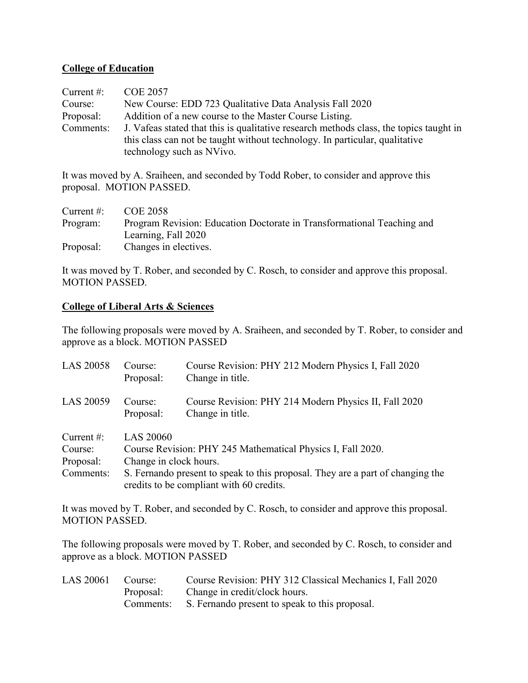#### **College of Education**

| Current $#$ : | <b>COE 2057</b>                                                                        |
|---------------|----------------------------------------------------------------------------------------|
| Course:       | New Course: EDD 723 Qualitative Data Analysis Fall 2020                                |
| Proposal:     | Addition of a new course to the Master Course Listing.                                 |
| Comments:     | J. Vafeas stated that this is qualitative research methods class, the topics taught in |
|               | this class can not be taught without technology. In particular, qualitative            |
|               | technology such as NVivo.                                                              |

It was moved by A. Sraiheen, and seconded by Todd Rober, to consider and approve this proposal. MOTION PASSED.

| Current $\#$ : | COE 2058                                                               |
|----------------|------------------------------------------------------------------------|
| Program:       | Program Revision: Education Doctorate in Transformational Teaching and |
|                | Learning, Fall 2020                                                    |
| Proposal:      | Changes in electives.                                                  |

It was moved by T. Rober, and seconded by C. Rosch, to consider and approve this proposal. MOTION PASSED.

#### **College of Liberal Arts & Sciences**

The following proposals were moved by A. Sraiheen, and seconded by T. Rober, to consider and approve as a block. MOTION PASSED

| LAS 20058                                          | Course:<br>Proposal:                                                                                                                                                                                                                    | Course Revision: PHY 212 Modern Physics I, Fall 2020<br>Change in title.  |
|----------------------------------------------------|-----------------------------------------------------------------------------------------------------------------------------------------------------------------------------------------------------------------------------------------|---------------------------------------------------------------------------|
| LAS 20059                                          | Course:<br>Proposal:                                                                                                                                                                                                                    | Course Revision: PHY 214 Modern Physics II, Fall 2020<br>Change in title. |
| Current $#$ :<br>Course:<br>Proposal:<br>Comments: | <b>LAS 20060</b><br>Course Revision: PHY 245 Mathematical Physics I, Fall 2020.<br>Change in clock hours.<br>S. Fernando present to speak to this proposal. They are a part of changing the<br>credits to be compliant with 60 credits. |                                                                           |

It was moved by T. Rober, and seconded by C. Rosch, to consider and approve this proposal. MOTION PASSED.

The following proposals were moved by T. Rober, and seconded by C. Rosch, to consider and approve as a block. MOTION PASSED

| LAS 20061 Course: | Course Revision: PHY 312 Classical Mechanics I, Fall 2020 |
|-------------------|-----------------------------------------------------------|
|                   | Proposal: Change in credit/clock hours.                   |
|                   | Comments: S. Fernando present to speak to this proposal.  |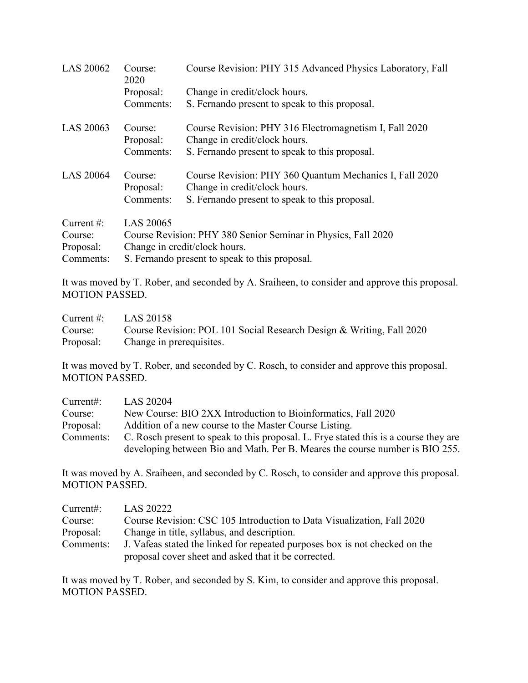| <b>LAS 20062</b> | Course:<br>2020      | Course Revision: PHY 315 Advanced Physics Laboratory, Fall                              |
|------------------|----------------------|-----------------------------------------------------------------------------------------|
|                  | Proposal:            | Change in credit/clock hours.                                                           |
|                  | Comments:            | S. Fernando present to speak to this proposal.                                          |
| LAS 20063        | Course:<br>Proposal: | Course Revision: PHY 316 Electromagnetism I, Fall 2020<br>Change in credit/clock hours. |
|                  | Comments:            | S. Fernando present to speak to this proposal.                                          |
| <b>LAS 20064</b> | Course:              | Course Revision: PHY 360 Quantum Mechanics I, Fall 2020                                 |
|                  | Proposal:            | Change in credit/clock hours.                                                           |
|                  | Comments:            | S. Fernando present to speak to this proposal.                                          |
| Current $#$ :    | LAS 20065            |                                                                                         |
| Course:          |                      | Course Revision: PHY 380 Senior Seminar in Physics, Fall 2020                           |
| Proposal:        |                      | Change in credit/clock hours.                                                           |
| Comments:        |                      | S. Fernando present to speak to this proposal.                                          |

It was moved by T. Rober, and seconded by A. Sraiheen, to consider and approve this proposal. MOTION PASSED.

| Current #: $LAS 20158$ |                                                                      |
|------------------------|----------------------------------------------------------------------|
| Course:                | Course Revision: POL 101 Social Research Design & Writing, Fall 2020 |
|                        | Proposal: Change in prerequisites.                                   |

It was moved by T. Rober, and seconded by C. Rosch, to consider and approve this proposal. MOTION PASSED.

| Current:  | LAS 20204                                                                            |
|-----------|--------------------------------------------------------------------------------------|
| Course:   | New Course: BIO 2XX Introduction to Bioinformatics, Fall 2020                        |
| Proposal: | Addition of a new course to the Master Course Listing.                               |
| Comments: | C. Rosch present to speak to this proposal. L. Frye stated this is a course they are |
|           | developing between Bio and Math. Per B. Meares the course number is BIO 255.         |

It was moved by A. Sraiheen, and seconded by C. Rosch, to consider and approve this proposal. MOTION PASSED.

| Current:  | LAS 20222                                                                   |
|-----------|-----------------------------------------------------------------------------|
| Course:   | Course Revision: CSC 105 Introduction to Data Visualization, Fall 2020      |
| Proposal: | Change in title, syllabus, and description.                                 |
| Comments: | J. Vafeas stated the linked for repeated purposes box is not checked on the |
|           | proposal cover sheet and asked that it be corrected.                        |

It was moved by T. Rober, and seconded by S. Kim, to consider and approve this proposal. MOTION PASSED.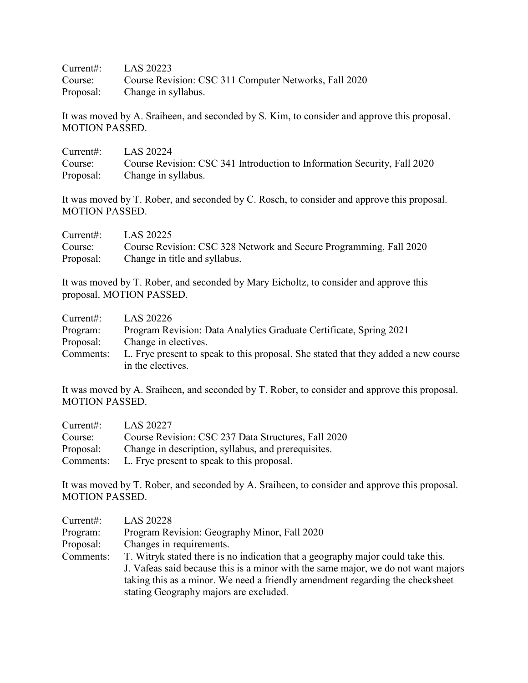Current#: LAS 20223 Course: Course Revision: CSC 311 Computer Networks, Fall 2020 Proposal: Change in syllabus.

It was moved by A. Sraiheen, and seconded by S. Kim, to consider and approve this proposal. MOTION PASSED.

| Current#: $LAS 20224$ |                                                                          |
|-----------------------|--------------------------------------------------------------------------|
| Course:               | Course Revision: CSC 341 Introduction to Information Security, Fall 2020 |
|                       | Proposal: Change in syllabus.                                            |

It was moved by T. Rober, and seconded by C. Rosch, to consider and approve this proposal. MOTION PASSED.

| Current:  | LAS 20225                                                          |
|-----------|--------------------------------------------------------------------|
| Course:   | Course Revision: CSC 328 Network and Secure Programming, Fall 2020 |
| Proposal: | Change in title and syllabus.                                      |

It was moved by T. Rober, and seconded by Mary Eicholtz, to consider and approve this proposal. MOTION PASSED.

| Current:  | LAS 20226                                                                                               |
|-----------|---------------------------------------------------------------------------------------------------------|
| Program:  | Program Revision: Data Analytics Graduate Certificate, Spring 2021                                      |
| Proposal: | Change in electives.                                                                                    |
| Comments: | L. Frye present to speak to this proposal. She stated that they added a new course<br>in the electives. |

It was moved by A. Sraiheen, and seconded by T. Rober, to consider and approve this proposal. MOTION PASSED.

| Current:  | LAS 20227                                           |
|-----------|-----------------------------------------------------|
| Course:   | Course Revision: CSC 237 Data Structures, Fall 2020 |
| Proposal: | Change in description, syllabus, and prerequisites. |
| Comments: | L. Frye present to speak to this proposal.          |

It was moved by T. Rober, and seconded by A. Sraiheen, to consider and approve this proposal. MOTION PASSED.

| Current:  | <b>LAS 20228</b>                                                                                                                                                     |
|-----------|----------------------------------------------------------------------------------------------------------------------------------------------------------------------|
| Program:  | Program Revision: Geography Minor, Fall 2020                                                                                                                         |
| Proposal: | Changes in requirements.                                                                                                                                             |
| Comments: | T. Witryk stated there is no indication that a geography major could take this.<br>J. Vafeas said because this is a minor with the same major, we do not want majors |
|           | taking this as a minor. We need a friendly amendment regarding the checksheet<br>stating Geography majors are excluded.                                              |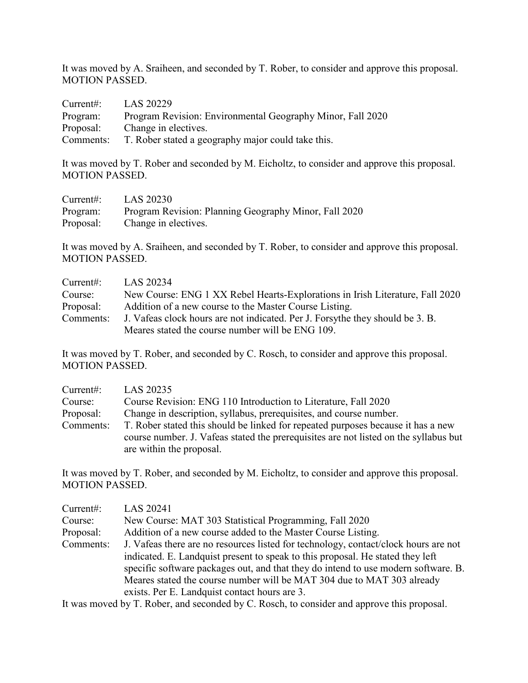It was moved by A. Sraiheen, and seconded by T. Rober, to consider and approve this proposal. MOTION PASSED.

| Current:  | LAS 20229                                                    |
|-----------|--------------------------------------------------------------|
| Program:  | Program Revision: Environmental Geography Minor, Fall 2020   |
| Proposal: | Change in electives.                                         |
|           | Comments: T. Rober stated a geography major could take this. |

It was moved by T. Rober and seconded by M. Eicholtz, to consider and approve this proposal. MOTION PASSED.

| Current:  | LAS 20230                                             |
|-----------|-------------------------------------------------------|
| Program:  | Program Revision: Planning Geography Minor, Fall 2020 |
| Proposal: | Change in electives.                                  |

It was moved by A. Sraiheen, and seconded by T. Rober, to consider and approve this proposal. MOTION PASSED.

| Current:  | LAS 20234                                                                     |
|-----------|-------------------------------------------------------------------------------|
| Course:   | New Course: ENG 1 XX Rebel Hearts-Explorations in Irish Literature, Fall 2020 |
| Proposal: | Addition of a new course to the Master Course Listing.                        |
| Comments: | J. Vafeas clock hours are not indicated. Per J. Forsythe they should be 3. B. |
|           | Meares stated the course number will be ENG 109.                              |

It was moved by T. Rober, and seconded by C. Rosch, to consider and approve this proposal. MOTION PASSED.

| Current:  | LAS 20235                                                                                                                                                                 |
|-----------|---------------------------------------------------------------------------------------------------------------------------------------------------------------------------|
| Course:   | Course Revision: ENG 110 Introduction to Literature, Fall 2020                                                                                                            |
| Proposal: | Change in description, syllabus, prerequisites, and course number.                                                                                                        |
| Comments: | T. Rober stated this should be linked for repeated purposes because it has a new<br>course number. J. Vafeas stated the prerequisities are not listed on the syllabus but |
|           | are within the proposal.                                                                                                                                                  |

It was moved by T. Rober, and seconded by M. Eicholtz, to consider and approve this proposal. MOTION PASSED.

| Current:  | LAS 20241                                                                           |
|-----------|-------------------------------------------------------------------------------------|
| Course:   | New Course: MAT 303 Statistical Programming, Fall 2020                              |
| Proposal: | Addition of a new course added to the Master Course Listing.                        |
| Comments: | J. Vafeas there are no resources listed for technology, contact/clock hours are not |
|           | indicated. E. Landquist present to speak to this proposal. He stated they left      |
|           | specific software packages out, and that they do intend to use modern software. B.  |
|           | Meares stated the course number will be MAT 304 due to MAT 303 already              |
|           | exists. Per E. Landquist contact hours are 3.                                       |

It was moved by T. Rober, and seconded by C. Rosch, to consider and approve this proposal.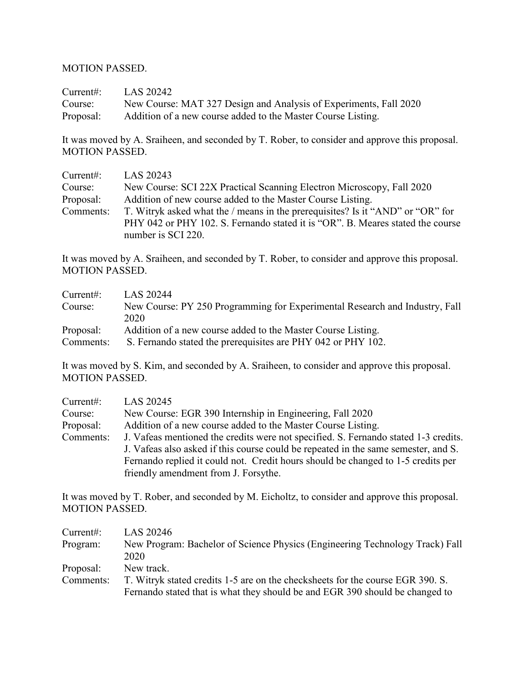#### MOTION PASSED.

Current#: LAS 20242 Course: New Course: MAT 327 Design and Analysis of Experiments, Fall 2020 Proposal: Addition of a new course added to the Master Course Listing.

It was moved by A. Sraiheen, and seconded by T. Rober, to consider and approve this proposal. MOTION PASSED.

| Current:  | LAS 20243                                                                      |
|-----------|--------------------------------------------------------------------------------|
| Course:   | New Course: SCI 22X Practical Scanning Electron Microscopy, Fall 2020          |
| Proposal: | Addition of new course added to the Master Course Listing.                     |
| Comments: | T. Witryk asked what the / means in the prerequisites? Is it "AND" or "OR" for |
|           | PHY 042 or PHY 102. S. Fernando stated it is "OR". B. Meares stated the course |
|           | number is SCI 220.                                                             |

It was moved by A. Sraiheen, and seconded by T. Rober, to consider and approve this proposal. MOTION PASSED.

| Current:  | LAS 20244                                                                   |
|-----------|-----------------------------------------------------------------------------|
| Course:   | New Course: PY 250 Programming for Experimental Research and Industry, Fall |
|           | 2020                                                                        |
| Proposal: | Addition of a new course added to the Master Course Listing.                |
| Comments: | S. Fernando stated the prerequisites are PHY 042 or PHY 102.                |

It was moved by S. Kim, and seconded by A. Sraiheen, to consider and approve this proposal. MOTION PASSED.

| Current:  | LAS 20245                                                                           |  |  |  |
|-----------|-------------------------------------------------------------------------------------|--|--|--|
| Course:   | New Course: EGR 390 Internship in Engineering, Fall 2020                            |  |  |  |
| Proposal: | Addition of a new course added to the Master Course Listing.                        |  |  |  |
| Comments: | J. Vafeas mentioned the credits were not specified. S. Fernando stated 1-3 credits. |  |  |  |
|           | J. Vafeas also asked if this course could be repeated in the same semester, and S.  |  |  |  |
|           | Fernando replied it could not. Credit hours should be changed to 1-5 credits per    |  |  |  |
|           | friendly amendment from J. Forsythe.                                                |  |  |  |

It was moved by T. Rober, and seconded by M. Eicholtz, to consider and approve this proposal. MOTION PASSED.

| Current:  | LAS 20246                                                                      |  |  |  |
|-----------|--------------------------------------------------------------------------------|--|--|--|
| Program:  | New Program: Bachelor of Science Physics (Engineering Technology Track) Fall   |  |  |  |
|           | 2020                                                                           |  |  |  |
| Proposal: | New track.                                                                     |  |  |  |
| Comments: | T. Witryk stated credits 1-5 are on the checksheets for the course EGR 390. S. |  |  |  |
|           | Fernando stated that is what they should be and EGR 390 should be changed to   |  |  |  |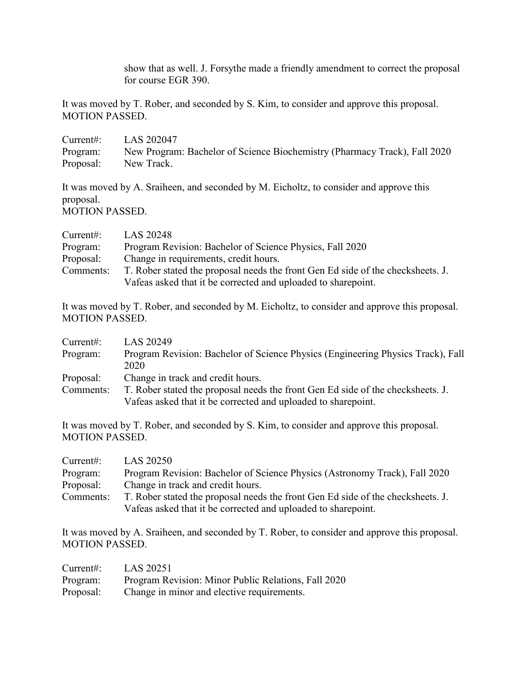show that as well. J. Forsythe made a friendly amendment to correct the proposal for course EGR 390.

It was moved by T. Rober, and seconded by S. Kim, to consider and approve this proposal. MOTION PASSED.

| Current:  | LAS 202047                                                                |
|-----------|---------------------------------------------------------------------------|
| Program:  | New Program: Bachelor of Science Biochemistry (Pharmacy Track), Fall 2020 |
| Proposal: | New Track.                                                                |

It was moved by A. Sraiheen, and seconded by M. Eicholtz, to consider and approve this proposal. MOTION PASSED.

| Current:  | LAS 20248                                                                       |  |  |
|-----------|---------------------------------------------------------------------------------|--|--|
| Program:  | Program Revision: Bachelor of Science Physics, Fall 2020                        |  |  |
| Proposal: | Change in requirements, credit hours.                                           |  |  |
| Comments: | T. Rober stated the proposal needs the front Gen Ed side of the checksheets. J. |  |  |
|           | Vafeas asked that it be corrected and uploaded to sharepoint.                   |  |  |

It was moved by T. Rober, and seconded by M. Eicholtz, to consider and approve this proposal. MOTION PASSED.

| Current:  | LAS 20249                                                                       |  |  |
|-----------|---------------------------------------------------------------------------------|--|--|
| Program:  | Program Revision: Bachelor of Science Physics (Engineering Physics Track), Fall |  |  |
|           | 2020                                                                            |  |  |
| Proposal: | Change in track and credit hours.                                               |  |  |
| Comments: | T. Rober stated the proposal needs the front Gen Ed side of the checksheets. J. |  |  |
|           | Vafeas asked that it be corrected and uploaded to sharepoint.                   |  |  |

It was moved by T. Rober, and seconded by S. Kim, to consider and approve this proposal. MOTION PASSED.

| Current:  | LAS 20250                                                                       |  |  |
|-----------|---------------------------------------------------------------------------------|--|--|
| Program:  | Program Revision: Bachelor of Science Physics (Astronomy Track), Fall 2020      |  |  |
| Proposal: | Change in track and credit hours.                                               |  |  |
| Comments: | T. Rober stated the proposal needs the front Gen Ed side of the checksheets. J. |  |  |
|           | Vafeas asked that it be corrected and uploaded to sharepoint.                   |  |  |

It was moved by A. Sraiheen, and seconded by T. Rober, to consider and approve this proposal. MOTION PASSED.

| Current#: | LAS 20251                                           |
|-----------|-----------------------------------------------------|
| Program:  | Program Revision: Minor Public Relations, Fall 2020 |
| Proposal: | Change in minor and elective requirements.          |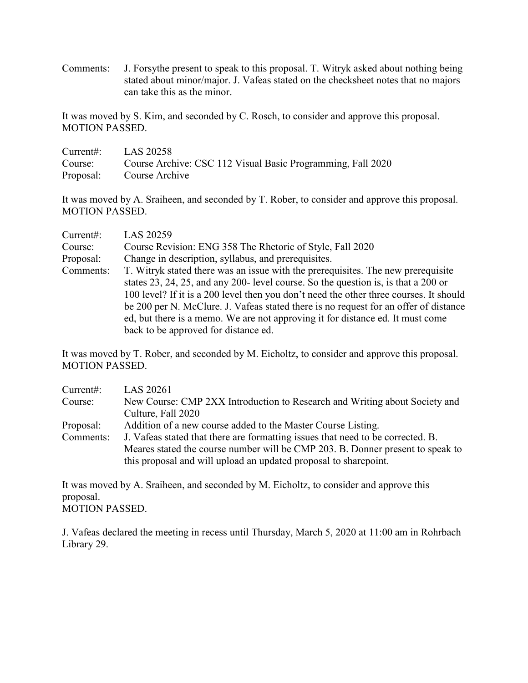Comments: J. Forsythe present to speak to this proposal. T. Witryk asked about nothing being stated about minor/major. J. Vafeas stated on the checksheet notes that no majors can take this as the minor.

It was moved by S. Kim, and seconded by C. Rosch, to consider and approve this proposal. MOTION PASSED.

| Current#: $LAS 20258$ |                                                                     |
|-----------------------|---------------------------------------------------------------------|
|                       | Course: Course Archive: CSC 112 Visual Basic Programming, Fall 2020 |
|                       | Proposal: Course Archive                                            |

It was moved by A. Sraiheen, and seconded by T. Rober, to consider and approve this proposal. MOTION PASSED.

| Current:  | LAS 20259                                                                                                                                                                                                                                                                                                                                                                                                                                                                          |  |  |  |
|-----------|------------------------------------------------------------------------------------------------------------------------------------------------------------------------------------------------------------------------------------------------------------------------------------------------------------------------------------------------------------------------------------------------------------------------------------------------------------------------------------|--|--|--|
| Course:   | Course Revision: ENG 358 The Rhetoric of Style, Fall 2020                                                                                                                                                                                                                                                                                                                                                                                                                          |  |  |  |
| Proposal: | Change in description, syllabus, and prerequisites.                                                                                                                                                                                                                                                                                                                                                                                                                                |  |  |  |
| Comments: | T. Witryk stated there was an issue with the prerequisites. The new prerequisite<br>states 23, 24, 25, and any 200- level course. So the question is, is that a 200 or<br>100 level? If it is a 200 level then you don't need the other three courses. It should<br>be 200 per N. McClure. J. Vafeas stated there is no request for an offer of distance<br>ed, but there is a memo. We are not approving it for distance ed. It must come<br>back to be approved for distance ed. |  |  |  |

It was moved by T. Rober, and seconded by M. Eicholtz, to consider and approve this proposal. MOTION PASSED.

| LAS 20261                                                                       |  |  |  |
|---------------------------------------------------------------------------------|--|--|--|
| New Course: CMP 2XX Introduction to Research and Writing about Society and      |  |  |  |
| Culture, Fall 2020                                                              |  |  |  |
| Addition of a new course added to the Master Course Listing.                    |  |  |  |
| J. Vafeas stated that there are formatting issues that need to be corrected. B. |  |  |  |
| Meares stated the course number will be CMP 203. B. Donner present to speak to  |  |  |  |
| this proposal and will upload an updated proposal to share point.               |  |  |  |
|                                                                                 |  |  |  |

It was moved by A. Sraiheen, and seconded by M. Eicholtz, to consider and approve this proposal. MOTION PASSED.

J. Vafeas declared the meeting in recess until Thursday, March 5, 2020 at 11:00 am in Rohrbach Library 29.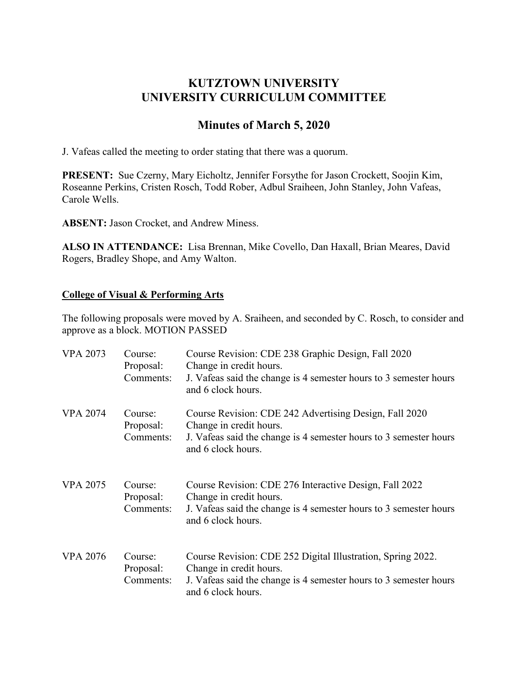## **KUTZTOWN UNIVERSITY UNIVERSITY CURRICULUM COMMITTEE**

# **Minutes of March 5, 2020**

J. Vafeas called the meeting to order stating that there was a quorum.

**PRESENT:** Sue Czerny, Mary Eicholtz, Jennifer Forsythe for Jason Crockett, Soojin Kim, Roseanne Perkins, Cristen Rosch, Todd Rober, Adbul Sraiheen, John Stanley, John Vafeas, Carole Wells.

**ABSENT:** Jason Crocket, and Andrew Miness.

**ALSO IN ATTENDANCE:** Lisa Brennan, Mike Covello, Dan Haxall, Brian Meares, David Rogers, Bradley Shope, and Amy Walton.

## **College of Visual & Performing Arts**

The following proposals were moved by A. Sraiheen, and seconded by C. Rosch, to consider and approve as a block. MOTION PASSED

| <b>VPA 2073</b> | Course:<br>Proposal:<br>Comments: | Course Revision: CDE 238 Graphic Design, Fall 2020<br>Change in credit hours.<br>J. Vafeas said the change is 4 semester hours to 3 semester hours<br>and 6 clock hours.          |
|-----------------|-----------------------------------|-----------------------------------------------------------------------------------------------------------------------------------------------------------------------------------|
| <b>VPA 2074</b> | Course:<br>Proposal:<br>Comments: | Course Revision: CDE 242 Advertising Design, Fall 2020<br>Change in credit hours.<br>J. Vafeas said the change is 4 semester hours to 3 semester hours<br>and 6 clock hours.      |
| <b>VPA 2075</b> | Course:<br>Proposal:<br>Comments: | Course Revision: CDE 276 Interactive Design, Fall 2022<br>Change in credit hours.<br>J. Vafeas said the change is 4 semester hours to 3 semester hours<br>and 6 clock hours.      |
| <b>VPA 2076</b> | Course:<br>Proposal:<br>Comments: | Course Revision: CDE 252 Digital Illustration, Spring 2022.<br>Change in credit hours.<br>J. Vafeas said the change is 4 semester hours to 3 semester hours<br>and 6 clock hours. |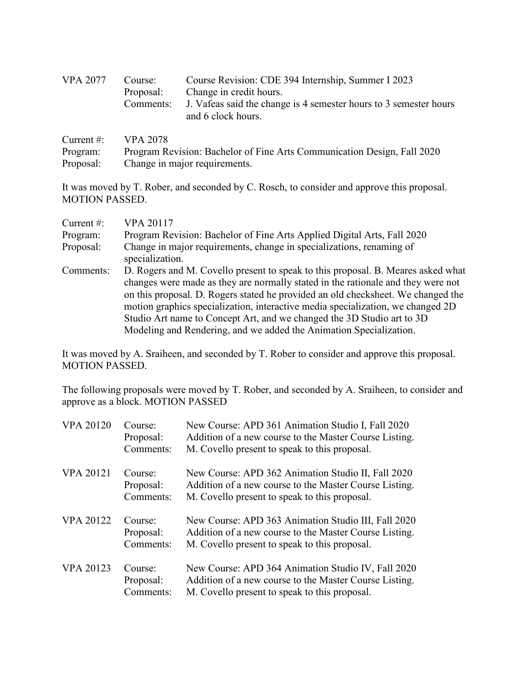| <b>VPA 2077</b> | Course:<br>Proposal:<br>Comments: | Course Revision: CDE 394 Internship, Summer I 2023<br>Change in credit hours.<br>J. Vafeas said the change is 4 semester hours to 3 semester hours<br>and 6 clock hours. |
|-----------------|-----------------------------------|--------------------------------------------------------------------------------------------------------------------------------------------------------------------------|
|                 | Current #: $VPA 2078$             |                                                                                                                                                                          |

| Program:  | Program Revision: Bachelor of Fine Arts Communication Design, Fall 2020 |
|-----------|-------------------------------------------------------------------------|
| Proposal: | Change in major requirements.                                           |

It was moved by T. Rober, and seconded by C. Rosch, to consider and approve this proposal. MOTION PASSED.

| Current $#$ : | <b>VPA 20117</b>                                                                                                                                                                                                                                                                                                                                                                                                                                                                            |
|---------------|---------------------------------------------------------------------------------------------------------------------------------------------------------------------------------------------------------------------------------------------------------------------------------------------------------------------------------------------------------------------------------------------------------------------------------------------------------------------------------------------|
| Program:      | Program Revision: Bachelor of Fine Arts Applied Digital Arts, Fall 2020                                                                                                                                                                                                                                                                                                                                                                                                                     |
| Proposal:     | Change in major requirements, change in specializations, renaming of<br>specialization.                                                                                                                                                                                                                                                                                                                                                                                                     |
| Comments:     | D. Rogers and M. Covello present to speak to this proposal. B. Meares asked what<br>changes were made as they are normally stated in the rationale and they were not<br>on this proposal. D. Rogers stated he provided an old checksheet. We changed the<br>motion graphics specialization, interactive media specialization, we changed 2D<br>Studio Art name to Concept Art, and we changed the 3D Studio art to 3D<br>Modeling and Rendering, and we added the Animation Specialization. |

It was moved by A. Sraiheen, and seconded by T. Rober to consider and approve this proposal. MOTION PASSED.

The following proposals were moved by T. Rober, and seconded by A. Sraiheen, to consider and approve as a block. MOTION PASSED

| <b>VPA 20120</b> | Course:<br>Proposal:<br>Comments: | New Course: APD 361 Animation Studio I, Fall 2020<br>Addition of a new course to the Master Course Listing.<br>M. Covello present to speak to this proposal.   |
|------------------|-----------------------------------|----------------------------------------------------------------------------------------------------------------------------------------------------------------|
| <b>VPA 20121</b> | Course:<br>Proposal:<br>Comments: | New Course: APD 362 Animation Studio II, Fall 2020<br>Addition of a new course to the Master Course Listing.<br>M. Covello present to speak to this proposal.  |
| <b>VPA 20122</b> | Course:<br>Proposal:<br>Comments: | New Course: APD 363 Animation Studio III, Fall 2020<br>Addition of a new course to the Master Course Listing.<br>M. Covello present to speak to this proposal. |
| <b>VPA 20123</b> | Course:<br>Proposal:<br>Comments: | New Course: APD 364 Animation Studio IV, Fall 2020<br>Addition of a new course to the Master Course Listing.<br>M. Covello present to speak to this proposal.  |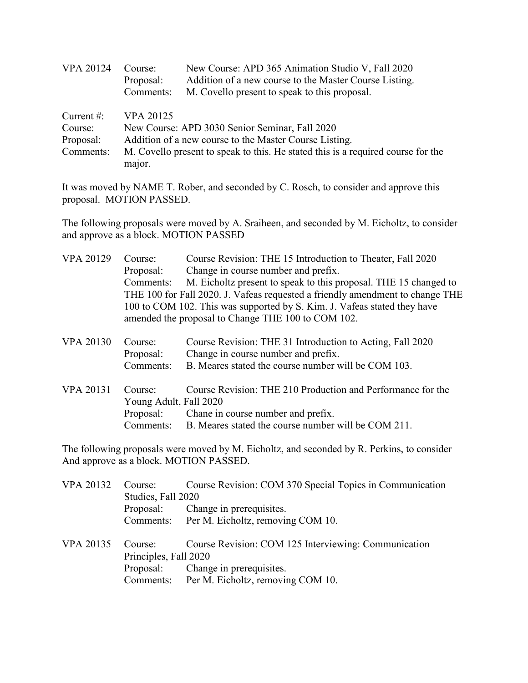| <b>VPA 20124</b> | Course:          | New Course: APD 365 Animation Studio V, Fall 2020                                |
|------------------|------------------|----------------------------------------------------------------------------------|
|                  | Proposal:        | Addition of a new course to the Master Course Listing.                           |
|                  | Comments:        | M. Covello present to speak to this proposal.                                    |
| Current $\#$ :   | <b>VPA 20125</b> |                                                                                  |
| Course:          |                  | New Course: APD 3030 Senior Seminar, Fall 2020                                   |
| Proposal:        |                  | Addition of a new course to the Master Course Listing.                           |
| Comments:        |                  | M. Covello present to speak to this. He stated this is a required course for the |
|                  | major.           |                                                                                  |

It was moved by NAME T. Rober, and seconded by C. Rosch, to consider and approve this proposal. MOTION PASSED.

The following proposals were moved by A. Sraiheen, and seconded by M. Eicholtz, to consider and approve as a block. MOTION PASSED

| <b>VPA 20129</b> | Course:                | Course Revision: THE 15 Introduction to Theater, Fall 2020                    |  |
|------------------|------------------------|-------------------------------------------------------------------------------|--|
|                  | Proposal:              | Change in course number and prefix.                                           |  |
|                  | Comments:              | M. Eicholtz present to speak to this proposal. THE 15 changed to              |  |
|                  |                        | THE 100 for Fall 2020. J. Vafeas requested a friendly amendment to change THE |  |
|                  |                        | 100 to COM 102. This was supported by S. Kim. J. Vafeas stated they have      |  |
|                  |                        | amended the proposal to Change THE 100 to COM 102.                            |  |
| <b>VPA 20130</b> | Course:                | Course Revision: THE 31 Introduction to Acting, Fall 2020                     |  |
|                  | Proposal:              | Change in course number and prefix.                                           |  |
|                  | Comments:              | B. Meares stated the course number will be COM 103.                           |  |
| <b>VPA 20131</b> | Course:                | Course Revision: THE 210 Production and Performance for the                   |  |
|                  | Young Adult, Fall 2020 |                                                                               |  |
|                  | Proposal:              | Chane in course number and prefix.                                            |  |
|                  | Comments:              | B. Meares stated the course number will be COM 211.                           |  |

The following proposals were moved by M. Eicholtz, and seconded by R. Perkins, to consider And approve as a block. MOTION PASSED.

| <b>VPA 20132</b> | Course:               | Course Revision: COM 370 Special Topics in Communication |
|------------------|-----------------------|----------------------------------------------------------|
|                  | Studies, Fall 2020    |                                                          |
|                  | Proposal:             | Change in prerequisites.                                 |
|                  |                       | Comments: Per M. Eicholtz, removing COM 10.              |
| <b>VPA 20135</b> | Course:               | Course Revision: COM 125 Interviewing: Communication     |
|                  | Principles, Fall 2020 |                                                          |
|                  |                       | Proposal: Change in prerequisites.                       |
|                  |                       | Comments: Per M. Eicholtz, removing COM 10.              |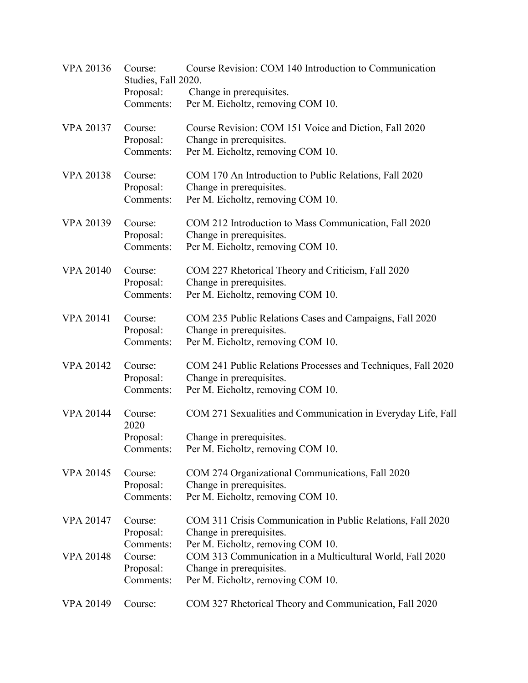| <b>VPA 20136</b> | Course:<br>Studies, Fall 2020.<br>Proposal:<br>Comments: | Course Revision: COM 140 Introduction to Communication<br>Change in prerequisites.<br>Per M. Eicholtz, removing COM 10.       |
|------------------|----------------------------------------------------------|-------------------------------------------------------------------------------------------------------------------------------|
| <b>VPA 20137</b> | Course:<br>Proposal:<br>Comments:                        | Course Revision: COM 151 Voice and Diction, Fall 2020<br>Change in prerequisites.<br>Per M. Eicholtz, removing COM 10.        |
| <b>VPA 20138</b> | Course:<br>Proposal:<br>Comments:                        | COM 170 An Introduction to Public Relations, Fall 2020<br>Change in prerequisites.<br>Per M. Eicholtz, removing COM 10.       |
| VPA 20139        | Course:<br>Proposal:<br>Comments:                        | COM 212 Introduction to Mass Communication, Fall 2020<br>Change in prerequisites.<br>Per M. Eicholtz, removing COM 10.        |
| <b>VPA 20140</b> | Course:<br>Proposal:<br>Comments:                        | COM 227 Rhetorical Theory and Criticism, Fall 2020<br>Change in prerequisites.<br>Per M. Eicholtz, removing COM 10.           |
| <b>VPA 20141</b> | Course:<br>Proposal:<br>Comments:                        | COM 235 Public Relations Cases and Campaigns, Fall 2020<br>Change in prerequisites.<br>Per M. Eicholtz, removing COM 10.      |
| <b>VPA 20142</b> | Course:<br>Proposal:<br>Comments:                        | COM 241 Public Relations Processes and Techniques, Fall 2020<br>Change in prerequisites.<br>Per M. Eicholtz, removing COM 10. |
| <b>VPA 20144</b> | Course:<br>2020<br>Proposal:<br>Comments:                | COM 271 Sexualities and Communication in Everyday Life, Fall<br>Change in prerequisites.<br>Per M. Eicholtz, removing COM 10. |
| <b>VPA 20145</b> | Course:<br>Proposal:<br>Comments:                        | COM 274 Organizational Communications, Fall 2020<br>Change in prerequisites.<br>Per M. Eicholtz, removing COM 10.             |
| <b>VPA 20147</b> | Course:<br>Proposal:<br>Comments:                        | COM 311 Crisis Communication in Public Relations, Fall 2020<br>Change in prerequisites.<br>Per M. Eicholtz, removing COM 10.  |
| <b>VPA 20148</b> | Course:<br>Proposal:<br>Comments:                        | COM 313 Communication in a Multicultural World, Fall 2020<br>Change in prerequisites.<br>Per M. Eicholtz, removing COM 10.    |
| <b>VPA 20149</b> | Course:                                                  | COM 327 Rhetorical Theory and Communication, Fall 2020                                                                        |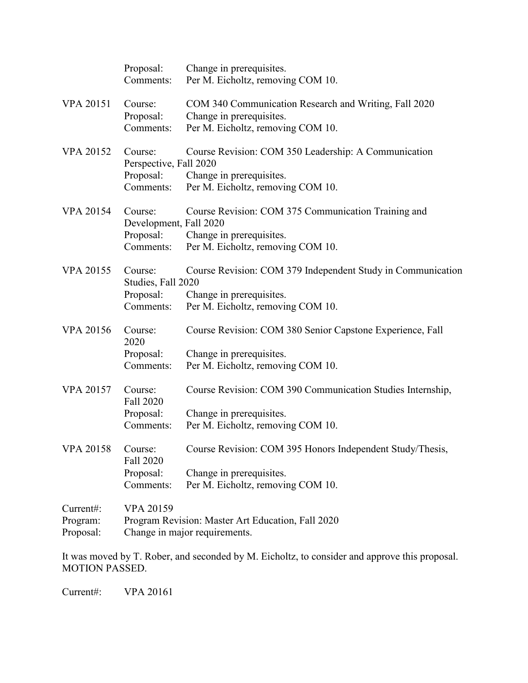|                                    | Proposal:<br>Comments:                                      | Change in prerequisites.<br>Per M. Eicholtz, removing COM 10.                                                                |
|------------------------------------|-------------------------------------------------------------|------------------------------------------------------------------------------------------------------------------------------|
| <b>VPA 20151</b>                   | Course:<br>Proposal:<br>Comments:                           | COM 340 Communication Research and Writing, Fall 2020<br>Change in prerequisites.<br>Per M. Eicholtz, removing COM 10.       |
| <b>VPA 20152</b>                   | Course:<br>Perspective, Fall 2020<br>Proposal:<br>Comments: | Course Revision: COM 350 Leadership: A Communication<br>Change in prerequisites.<br>Per M. Eicholtz, removing COM 10.        |
| <b>VPA 20154</b>                   | Course:<br>Development, Fall 2020<br>Proposal:<br>Comments: | Course Revision: COM 375 Communication Training and<br>Change in prerequisites.<br>Per M. Eicholtz, removing COM 10.         |
| <b>VPA 20155</b>                   | Course:<br>Studies, Fall 2020<br>Proposal:<br>Comments:     | Course Revision: COM 379 Independent Study in Communication<br>Change in prerequisites.<br>Per M. Eicholtz, removing COM 10. |
| <b>VPA 20156</b>                   | Course:<br>2020<br>Proposal:<br>Comments:                   | Course Revision: COM 380 Senior Capstone Experience, Fall<br>Change in prerequisites.<br>Per M. Eicholtz, removing COM 10.   |
| <b>VPA 20157</b>                   | Course:<br>Fall 2020<br>Proposal:<br>Comments:              | Course Revision: COM 390 Communication Studies Internship,<br>Change in prerequisites.<br>Per M. Eicholtz, removing COM 10.  |
| <b>VPA 20158</b>                   | Course:<br>Fall 2020<br>Proposal:<br>Comments:              | Course Revision: COM 395 Honors Independent Study/Thesis,<br>Change in prerequisites.<br>Per M. Eicholtz, removing COM 10.   |
| Current#:<br>Program:<br>Proposal: | VPA 20159                                                   | Program Revision: Master Art Education, Fall 2020<br>Change in major requirements.                                           |

It was moved by T. Rober, and seconded by M. Eicholtz, to consider and approve this proposal. MOTION PASSED.

Current#: VPA 20161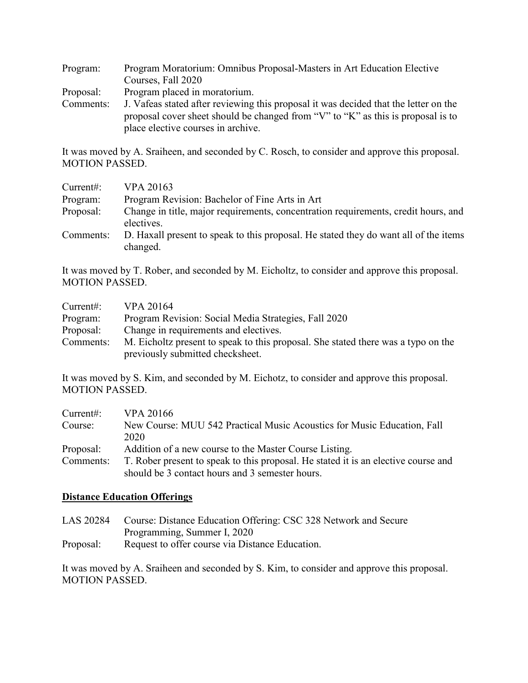| Program:  | Program Moratorium: Omnibus Proposal-Masters in Art Education Elective               |
|-----------|--------------------------------------------------------------------------------------|
|           | Courses, Fall 2020                                                                   |
| Proposal: | Program placed in moratorium.                                                        |
| Comments: | J. Vafeas stated after reviewing this proposal it was decided that the letter on the |
|           | proposal cover sheet should be changed from "V" to "K" as this is proposal is to     |
|           | place elective courses in archive.                                                   |

It was moved by A. Sraiheen, and seconded by C. Rosch, to consider and approve this proposal. MOTION PASSED.

| Current:  | <b>VPA 20163</b>                                                                                 |
|-----------|--------------------------------------------------------------------------------------------------|
| Program:  | Program Revision: Bachelor of Fine Arts in Art                                                   |
| Proposal: | Change in title, major requirements, concentration requirements, credit hours, and<br>electives. |
| Comments: | D. Haxall present to speak to this proposal. He stated they do want all of the items<br>changed. |

It was moved by T. Rober, and seconded by M. Eicholtz, to consider and approve this proposal. MOTION PASSED.

| Current:  | VPA 20164                                                                         |
|-----------|-----------------------------------------------------------------------------------|
| Program:  | Program Revision: Social Media Strategies, Fall 2020                              |
| Proposal: | Change in requirements and electives.                                             |
| Comments: | M. Eicholtz present to speak to this proposal. She stated there was a typo on the |
|           | previously submitted checksheet.                                                  |

It was moved by S. Kim, and seconded by M. Eichotz, to consider and approve this proposal. MOTION PASSED.

| Current:  | VPA 20166                                                                          |
|-----------|------------------------------------------------------------------------------------|
| Course:   | New Course: MUU 542 Practical Music Acoustics for Music Education, Fall            |
|           | 2020                                                                               |
| Proposal: | Addition of a new course to the Master Course Listing.                             |
| Comments: | T. Rober present to speak to this proposal. He stated it is an elective course and |
|           | should be 3 contact hours and 3 semester hours.                                    |

#### **Distance Education Offerings**

- LAS 20284 Course: Distance Education Offering: CSC 328 Network and Secure Programming, Summer I, 2020
- Proposal: Request to offer course via Distance Education.

It was moved by A. Sraiheen and seconded by S. Kim, to consider and approve this proposal. MOTION PASSED.